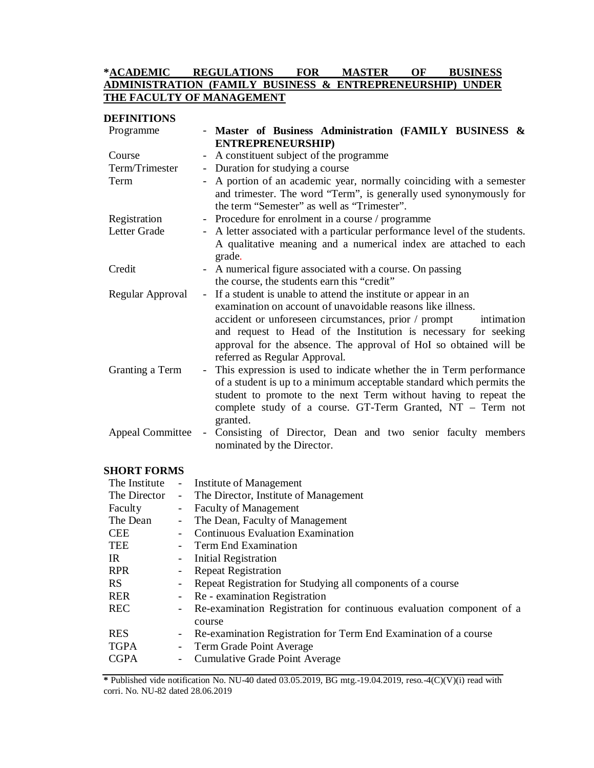# **\*ACADEMIC REGULATIONS FOR MASTER OF BUSINESS ADMINISTRATION (FAMILY BUSINESS & ENTREPRENEURSHIP) UNDER THE FACULTY OF MANAGEMENT**

| <b>DEFINITIONS</b>                                          |                                                                                                                                                                       |  |  |
|-------------------------------------------------------------|-----------------------------------------------------------------------------------------------------------------------------------------------------------------------|--|--|
| Programme                                                   | - Master of Business Administration (FAMILY BUSINESS &<br><b>ENTREPRENEURSHIP)</b>                                                                                    |  |  |
| Course                                                      | A constituent subject of the programme                                                                                                                                |  |  |
| Term/Trimester                                              | $\overline{\phantom{a}}$<br>$\sim$ .                                                                                                                                  |  |  |
|                                                             | Duration for studying a course                                                                                                                                        |  |  |
| Term                                                        | A portion of an academic year, normally coinciding with a semester<br>$\omega_{\rm{eff}}$<br>and trimester. The word "Term", is generally used synonymously for       |  |  |
|                                                             | the term "Semester" as well as "Trimester".                                                                                                                           |  |  |
| Registration                                                | - Procedure for enrolment in a course / programme                                                                                                                     |  |  |
| Letter Grade                                                | - A letter associated with a particular performance level of the students.<br>A qualitative meaning and a numerical index are attached to each<br>grade.              |  |  |
| Credit                                                      | - A numerical figure associated with a course. On passing                                                                                                             |  |  |
|                                                             | the course, the students earn this "credit"                                                                                                                           |  |  |
| Regular Approval                                            | - If a student is unable to attend the institute or appear in an                                                                                                      |  |  |
| examination on account of unavoidable reasons like illness. |                                                                                                                                                                       |  |  |
|                                                             | accident or unforeseen circumstances, prior / prompt<br>intimation                                                                                                    |  |  |
|                                                             | and request to Head of the Institution is necessary for seeking<br>approval for the absence. The approval of HoI so obtained will be<br>referred as Regular Approval. |  |  |
| Granting a Term                                             | This expression is used to indicate whether the in Term performance<br>$\equiv$                                                                                       |  |  |
|                                                             | of a student is up to a minimum acceptable standard which permits the                                                                                                 |  |  |
|                                                             | student to promote to the next Term without having to repeat the                                                                                                      |  |  |
|                                                             | complete study of a course. GT-Term Granted, NT - Term not<br>granted.                                                                                                |  |  |
| <b>Appeal Committee</b>                                     | Consisting of Director, Dean and two senior faculty members<br>$\omega_{\rm{eff}}$                                                                                    |  |  |
| nominated by the Director.                                  |                                                                                                                                                                       |  |  |

# **SHORT FORMS**

|                          | - Institute of Management                                                        |
|--------------------------|----------------------------------------------------------------------------------|
| $\sim$                   | The Director, Institute of Management                                            |
| $\sim$                   | <b>Faculty of Management</b>                                                     |
|                          | - The Dean, Faculty of Management                                                |
|                          | <b>Continuous Evaluation Examination</b>                                         |
|                          | <b>Term End Examination</b>                                                      |
|                          | - Initial Registration                                                           |
|                          | <b>Repeat Registration</b>                                                       |
|                          | Repeat Registration for Studying all components of a course                      |
|                          | - Re - examination Registration                                                  |
|                          | - Re-examination Registration for continuous evaluation component of a<br>course |
| $\overline{\phantom{a}}$ | Re-examination Registration for Term End Examination of a course                 |
| $\sim$                   | Term Grade Point Average                                                         |
|                          | Cumulative Grade Point Average                                                   |
|                          |                                                                                  |

**\*** Published vide notification No. NU-40 dated 03.05.2019, BG mtg.-19.04.2019, reso.-4(C)(V)(i) read with corri. No. NU-82 dated 28.06.2019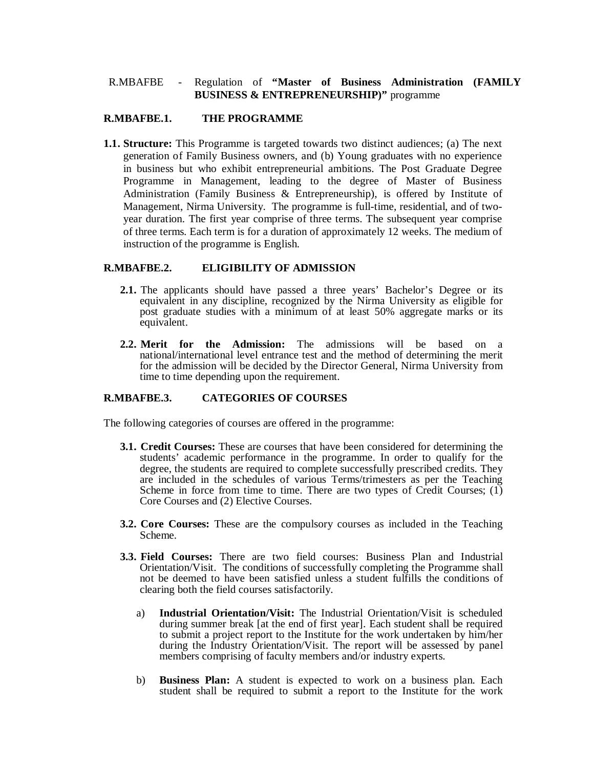# R.MBAFBE - Regulation of **"Master of Business Administration (FAMILY BUSINESS & ENTREPRENEURSHIP)"** programme

#### **R.MBAFBE.1. THE PROGRAMME**

**1.1. Structure:** This Programme is targeted towards two distinct audiences; (a) The next generation of Family Business owners, and (b) Young graduates with no experience in business but who exhibit entrepreneurial ambitions. The Post Graduate Degree Programme in Management, leading to the degree of Master of Business Administration (Family Business & Entrepreneurship), is offered by Institute of Management, Nirma University. The programme is full-time, residential, and of twoyear duration. The first year comprise of three terms. The subsequent year comprise of three terms. Each term is for a duration of approximately 12 weeks. The medium of instruction of the programme is English.

### **R.MBAFBE.2. ELIGIBILITY OF ADMISSION**

- **2.1.** The applicants should have passed a three years' Bachelor's Degree or its equivalent in any discipline, recognized by the Nirma University as eligible for post graduate studies with a minimum of at least 50% aggregate marks or its equivalent.
- **2.2. Merit for the Admission:** The admissions will be based on a national/international level entrance test and the method of determining the merit for the admission will be decided by the Director General, Nirma University from time to time depending upon the requirement.

# **R.MBAFBE.3. CATEGORIES OF COURSES**

The following categories of courses are offered in the programme:

- **3.1. Credit Courses:** These are courses that have been considered for determining the students' academic performance in the programme. In order to qualify for the degree, the students are required to complete successfully prescribed credits. They are included in the schedules of various Terms/trimesters as per the Teaching Scheme in force from time to time. There are two types of Credit Courses;  $(1)$ Core Courses and (2) Elective Courses.
- **3.2. Core Courses:** These are the compulsory courses as included in the Teaching Scheme.
- **3.3. Field Courses:** There are two field courses: Business Plan and Industrial Orientation/Visit. The conditions of successfully completing the Programme shall not be deemed to have been satisfied unless a student fulfills the conditions of clearing both the field courses satisfactorily.
	- a) **Industrial Orientation/Visit:** The Industrial Orientation/Visit is scheduled during summer break [at the end of first year]. Each student shall be required to submit a project report to the Institute for the work undertaken by him/her during the Industry Orientation/Visit. The report will be assessed by panel members comprising of faculty members and/or industry experts.
	- b) **Business Plan:** A student is expected to work on a business plan. Each student shall be required to submit a report to the Institute for the work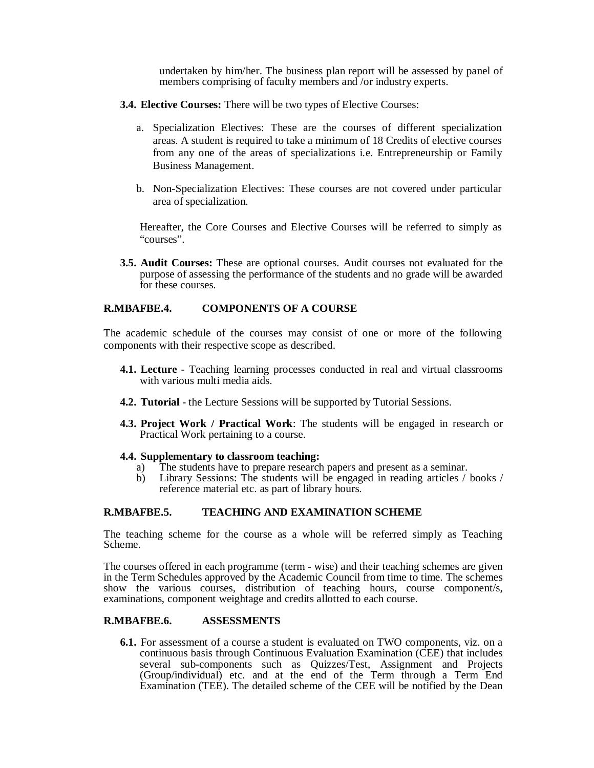undertaken by him/her. The business plan report will be assessed by panel of members comprising of faculty members and /or industry experts.

- **3.4. Elective Courses:** There will be two types of Elective Courses:
	- a. Specialization Electives: These are the courses of different specialization areas. A student is required to take a minimum of 18 Credits of elective courses from any one of the areas of specializations i.e. Entrepreneurship or Family Business Management.
	- b. Non-Specialization Electives: These courses are not covered under particular area of specialization.

Hereafter, the Core Courses and Elective Courses will be referred to simply as "courses".

**3.5. Audit Courses:** These are optional courses. Audit courses not evaluated for the purpose of assessing the performance of the students and no grade will be awarded for these courses.

### **R.MBAFBE.4. COMPONENTS OF A COURSE**

The academic schedule of the courses may consist of one or more of the following components with their respective scope as described.

- **4.1. Lecture** Teaching learning processes conducted in real and virtual classrooms with various multi media aids.
- **4.2. Tutorial** the Lecture Sessions will be supported by Tutorial Sessions.
- **4.3. Project Work / Practical Work**: The students will be engaged in research or Practical Work pertaining to a course.

#### **4.4. Supplementary to classroom teaching:**

- a) The students have to prepare research papers and present as a seminar.
- b) Library Sessions: The students will be engaged in reading articles / books / reference material etc. as part of library hours.

# **R.MBAFBE.5. TEACHING AND EXAMINATION SCHEME**

The teaching scheme for the course as a whole will be referred simply as Teaching Scheme.

The courses offered in each programme (term - wise) and their teaching schemes are given in the Term Schedules approved by the Academic Council from time to time. The schemes show the various courses, distribution of teaching hours, course component/s, examinations, component weightage and credits allotted to each course.

## **R.MBAFBE.6. ASSESSMENTS**

**6.1.** For assessment of a course a student is evaluated on TWO components, viz. on a continuous basis through Continuous Evaluation Examination (CEE) that includes several sub-components such as Quizzes/Test, Assignment and Projects (Group/individual) etc. and at the end of the Term through a Term End Examination (TEE). The detailed scheme of the CEE will be notified by the Dean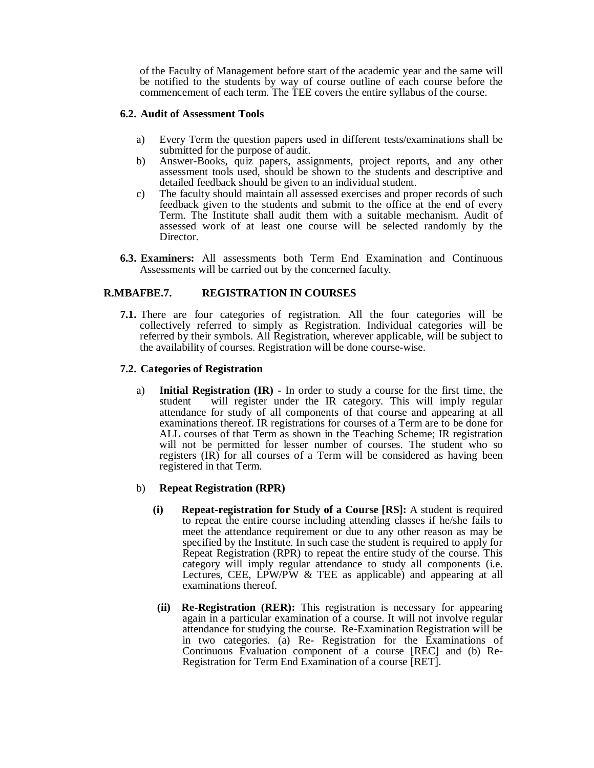of the Faculty of Management before start of the academic year and the same will be notified to the students by way of course outline of each course before the commencement of each term. The TEE covers the entire syllabus of the course.

## **6.2. Audit of Assessment Tools**

- a) Every Term the question papers used in different tests/examinations shall be submitted for the purpose of audit.
- b) Answer-Books, quiz papers, assignments, project reports, and any other assessment tools used, should be shown to the students and descriptive and detailed feedback should be given to an individual student.
- c) The faculty should maintain all assessed exercises and proper records of such feedback given to the students and submit to the office at the end of every Term. The Institute shall audit them with a suitable mechanism. Audit of assessed work of at least one course will be selected randomly by the Director.
- **6.3. Examiners:** All assessments both Term End Examination and Continuous Assessments will be carried out by the concerned faculty.

# **R.MBAFBE.7. REGISTRATION IN COURSES**

**7.1.** There are four categories of registration. All the four categories will be collectively referred to simply as Registration. Individual categories will be referred by their symbols. All Registration, wherever applicable, will be subject to the availability of courses. Registration will be done course-wise.

### **7.2. Categories of Registration**

a) **Initial Registration (IR)** - In order to study a course for the first time, the student will register under the IR category. This will imply regular attendance for study of all components of that course and appearing at all examinations thereof. IR registrations for courses of a Term are to be done for ALL courses of that Term as shown in the Teaching Scheme; IR registration will not be permitted for lesser number of courses. The student who so registers (IR) for all courses of a Term will be considered as having been registered in that Term.

#### b) **Repeat Registration (RPR)**

- **(i) Repeat-registration for Study of a Course [RS]:** A student is required to repeat the entire course including attending classes if he/she fails to meet the attendance requirement or due to any other reason as may be specified by the Institute. In such case the student is required to apply for Repeat Registration (RPR) to repeat the entire study of the course. This category will imply regular attendance to study all components (i.e. Lectures, CEE, LPW/PW & TEE as applicable) and appearing at all examinations thereof.
- **(ii) Re-Registration (RER):** This registration is necessary for appearing again in a particular examination of a course. It will not involve regular attendance for studying the course. Re-Examination Registration will be in two categories. (a) Re- Registration for the Examinations of Continuous Evaluation component of a course [REC] and (b) Re-Registration for Term End Examination of a course [RET].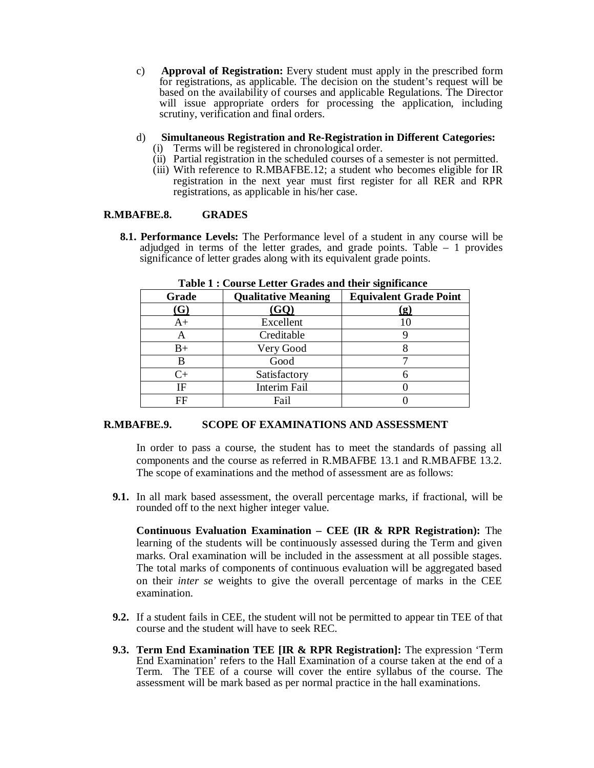c) **Approval of Registration:** Every student must apply in the prescribed form for registrations, as applicable. The decision on the student's request will be based on the availability of courses and applicable Regulations. The Director will issue appropriate orders for processing the application, including scrutiny, verification and final orders.

# d) **Simultaneous Registration and Re-Registration in Different Categories:**

- (i) Terms will be registered in chronological order.
- (ii) Partial registration in the scheduled courses of a semester is not permitted.
- (iii) With reference to R.MBAFBE.12; a student who becomes eligible for IR registration in the next year must first register for all RER and RPR registrations, as applicable in his/her case.

### **R.MBAFBE.8. GRADES**

**8.1. Performance Levels:** The Performance level of a student in any course will be adjudged in terms of the letter grades, and grade points. Table – 1 provides significance of letter grades along with its equivalent grade points.

| Grade       | <b>Qualitative Meaning</b> | <b>Equivalent Grade Point</b> |  |  |
|-------------|----------------------------|-------------------------------|--|--|
| (G)         | (GQ)                       | <u>(g)</u>                    |  |  |
| A+          | Excellent                  |                               |  |  |
| А           | Creditable                 |                               |  |  |
| $_{\rm B+}$ | Very Good                  |                               |  |  |
| B           | Good                       |                               |  |  |
| $C_{\pm}$   | Satisfactory               |                               |  |  |
| ΙF          | Interim Fail               |                               |  |  |
| FF          | Fail                       |                               |  |  |

**Table 1 : Course Letter Grades and their significance**

#### **R.MBAFBE.9. SCOPE OF EXAMINATIONS AND ASSESSMENT**

In order to pass a course, the student has to meet the standards of passing all components and the course as referred in R.MBAFBE 13.1 and R.MBAFBE 13.2. The scope of examinations and the method of assessment are as follows:

**9.1.** In all mark based assessment, the overall percentage marks, if fractional, will be rounded off to the next higher integer value.

**Continuous Evaluation Examination – CEE (IR & RPR Registration):** The learning of the students will be continuously assessed during the Term and given marks. Oral examination will be included in the assessment at all possible stages. The total marks of components of continuous evaluation will be aggregated based on their *inter se* weights to give the overall percentage of marks in the CEE examination.

- **9.2.** If a student fails in CEE, the student will not be permitted to appear tin TEE of that course and the student will have to seek REC.
- **9.3. Term End Examination TEE [IR & RPR Registration]:** The expression 'Term End Examination' refers to the Hall Examination of a course taken at the end of a Term. The TEE of a course will cover the entire syllabus of the course. The assessment will be mark based as per normal practice in the hall examinations.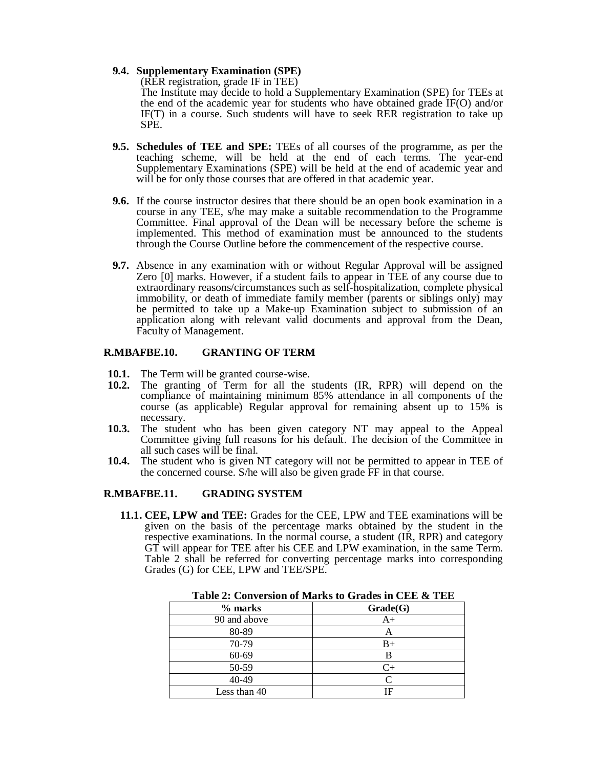#### **9.4. Supplementary Examination (SPE)**

(RER registration, grade IF in TEE)

The Institute may decide to hold a Supplementary Examination (SPE) for TEEs at the end of the academic year for students who have obtained grade IF(O) and/or IF(T) in a course. Such students will have to seek RER registration to take up SPE.

- **9.5. Schedules of TEE and SPE:** TEEs of all courses of the programme, as per the teaching scheme, will be held at the end of each terms. The year-end Supplementary Examinations (SPE) will be held at the end of academic year and will be for only those courses that are offered in that academic year.
- **9.6.** If the course instructor desires that there should be an open book examination in a course in any TEE, s/he may make a suitable recommendation to the Programme Committee. Final approval of the Dean will be necessary before the scheme is implemented. This method of examination must be announced to the students through the Course Outline before the commencement of the respective course.
- **9.7.** Absence in any examination with or without Regular Approval will be assigned Zero [0] marks. However, if a student fails to appear in TEE of any course due to extraordinary reasons/circumstances such as self-hospitalization, complete physical immobility, or death of immediate family member (parents or siblings only) may be permitted to take up a Make-up Examination subject to submission of an application along with relevant valid documents and approval from the Dean, Faculty of Management.

### **R.MBAFBE.10. GRANTING OF TERM**

- **10.1.** The Term will be granted course-wise.<br>**10.2.** The granting of Term for all the
- The granting of Term for all the students (IR, RPR) will depend on the compliance of maintaining minimum 85% attendance in all components of the course (as applicable) Regular approval for remaining absent up to 15% is necessary.
- **10.3.** The student who has been given category NT may appeal to the Appeal Committee giving full reasons for his default. The decision of the Committee in all such cases will be final.
- **10.4.** The student who is given NT category will not be permitted to appear in TEE of the concerned course. S/he will also be given grade FF in that course.

# **R.MBAFBE.11. GRADING SYSTEM**

**11.1. CEE, LPW and TEE:** Grades for the CEE, LPW and TEE examinations will be given on the basis of the percentage marks obtained by the student in the respective examinations. In the normal course, a student (IR, RPR) and category GT will appear for TEE after his CEE and LPW examination, in the same Term. Table 2 shall be referred for converting percentage marks into corresponding Grades (G) for CEE, LPW and TEE/SPE.

| $%$ marks    | Grade(G)    |
|--------------|-------------|
| 90 and above | A+          |
| 80-89        |             |
| 70-79        | $_{\rm B+}$ |
| 60-69        | B           |
| 50-59        |             |
| 40-49        |             |
| Less than 40 |             |

**Table 2: Conversion of Marks to Grades in CEE & TEE**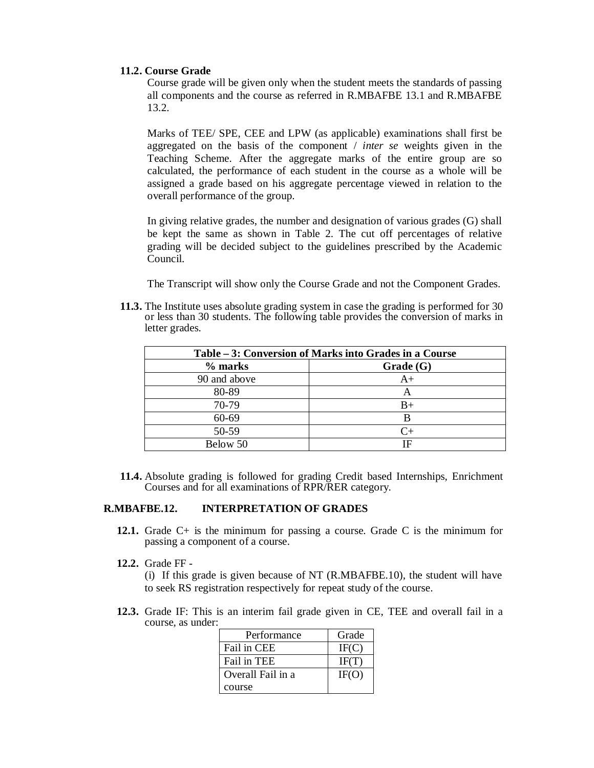## **11.2. Course Grade**

Course grade will be given only when the student meets the standards of passing all components and the course as referred in R.MBAFBE 13.1 and R.MBAFBE 13.2.

Marks of TEE/ SPE, CEE and LPW (as applicable) examinations shall first be aggregated on the basis of the component / *inter se* weights given in the Teaching Scheme. After the aggregate marks of the entire group are so calculated, the performance of each student in the course as a whole will be assigned a grade based on his aggregate percentage viewed in relation to the overall performance of the group.

In giving relative grades, the number and designation of various grades (G) shall be kept the same as shown in Table 2. The cut off percentages of relative grading will be decided subject to the guidelines prescribed by the Academic Council.

The Transcript will show only the Course Grade and not the Component Grades.

**11.3.** The Institute uses absolute grading system in case the grading is performed for 30 or less than 30 students. The following table provides the conversion of marks in letter grades.

| Table – 3: Conversion of Marks into Grades in a Course |           |  |  |  |
|--------------------------------------------------------|-----------|--|--|--|
| % marks                                                | Grade(G)  |  |  |  |
| 90 and above                                           | $A+$      |  |  |  |
| 80-89                                                  | А         |  |  |  |
| 70-79                                                  | $B+$      |  |  |  |
| 60-69                                                  | B         |  |  |  |
| 50-59                                                  | $C_{\pm}$ |  |  |  |
| Below 50                                               | ΙF        |  |  |  |

**11.4.** Absolute grading is followed for grading Credit based Internships, Enrichment Courses and for all examinations of RPR/RER category.

### **R.MBAFBE.12. INTERPRETATION OF GRADES**

- **12.1.** Grade C+ is the minimum for passing a course. Grade C is the minimum for passing a component of a course.
- **12.2.** Grade FF -

(i) If this grade is given because of NT (R.MBAFBE.10), the student will have to seek RS registration respectively for repeat study of the course.

**12.3.** Grade IF: This is an interim fail grade given in CE, TEE and overall fail in a course, as under:

| Performance       | Grade |
|-------------------|-------|
| Fail in CEE       | IF(C) |
| Fail in TEE       | IF(T) |
| Overall Fail in a | IF(O) |
| course            |       |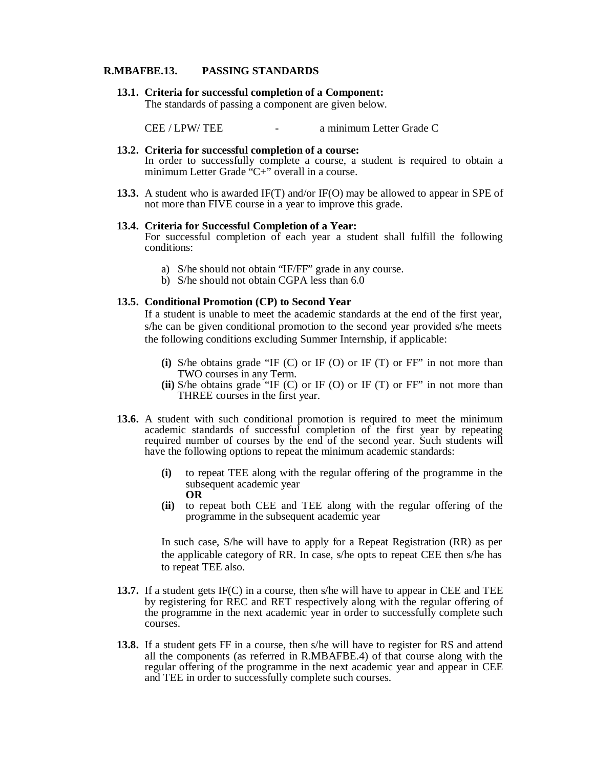#### **R.MBAFBE.13. PASSING STANDARDS**

**13.1. Criteria for successful completion of a Component:** 

The standards of passing a component are given below.

CEE / LPW/ TEE - a minimum Letter Grade C

**13.2. Criteria for successful completion of a course:**  In order to successfully complete a course, a student is required to obtain a minimum Letter Grade "C+" overall in a course.

**13.3.** A student who is awarded IF(T) and/or IF(O) may be allowed to appear in SPE of not more than FIVE course in a year to improve this grade.

#### **13.4. Criteria for Successful Completion of a Year:**

For successful completion of each year a student shall fulfill the following conditions:

- a) S/he should not obtain "IF/FF" grade in any course.
- b) S/he should not obtain CGPA less than 6.0

## **13.5. Conditional Promotion (CP) to Second Year**

If a student is unable to meet the academic standards at the end of the first year, s/he can be given conditional promotion to the second year provided s/he meets the following conditions excluding Summer Internship, if applicable:

- **(i)** S/he obtains grade "IF (C) or IF (O) or IF (T) or FF" in not more than TWO courses in any Term.
- **(ii)** S/he obtains grade "IF (C) or IF (O) or IF (T) or FF" in not more than THREE courses in the first year.
- **13.6.** A student with such conditional promotion is required to meet the minimum academic standards of successful completion of the first year by repeating required number of courses by the end of the second year. Such students will have the following options to repeat the minimum academic standards:
	- **(i)** to repeat TEE along with the regular offering of the programme in the subsequent academic year **OR**
	- **(ii)** to repeat both CEE and TEE along with the regular offering of the programme in the subsequent academic year

In such case, S/he will have to apply for a Repeat Registration (RR) as per the applicable category of RR. In case, s/he opts to repeat CEE then s/he has to repeat TEE also.

- **13.7.** If a student gets IF(C) in a course, then s/he will have to appear in CEE and TEE by registering for REC and RET respectively along with the regular offering of the programme in the next academic year in order to successfully complete such courses.
- **13.8.** If a student gets FF in a course, then s/he will have to register for RS and attend all the components (as referred in R.MBAFBE.4) of that course along with the regular offering of the programme in the next academic year and appear in CEE and TEE in order to successfully complete such courses.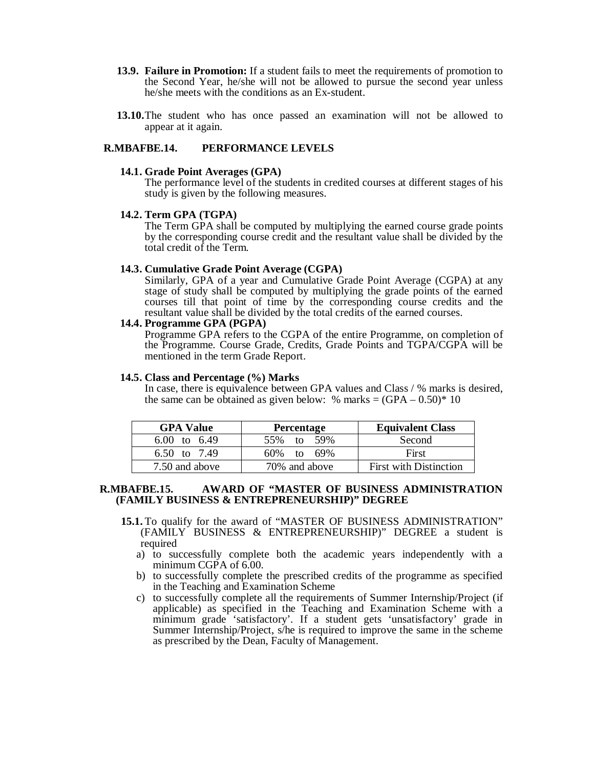- **13.9. Failure in Promotion:** If a student fails to meet the requirements of promotion to the Second Year, he/she will not be allowed to pursue the second year unless he/she meets with the conditions as an Ex-student.
- **13.10.**The student who has once passed an examination will not be allowed to appear at it again.

#### **R.MBAFBE.14. PERFORMANCE LEVELS**

#### **14.1. Grade Point Averages (GPA)**

The performance level of the students in credited courses at different stages of his study is given by the following measures.

#### **14.2. Term GPA (TGPA)**

The Term GPA shall be computed by multiplying the earned course grade points by the corresponding course credit and the resultant value shall be divided by the total credit of the Term.

#### **14.3. Cumulative Grade Point Average (CGPA)**

Similarly, GPA of a year and Cumulative Grade Point Average (CGPA) at any stage of study shall be computed by multiplying the grade points of the earned courses till that point of time by the corresponding course credits and the resultant value shall be divided by the total credits of the earned courses.

#### **14.4. Programme GPA (PGPA)**

Programme GPA refers to the CGPA of the entire Programme, on completion of the Programme. Course Grade, Credits, Grade Points and TGPA/CGPA will be mentioned in the term Grade Report.

#### **14.5. Class and Percentage (%) Marks**

In case, there is equivalence between GPA values and Class / % marks is desired, the same can be obtained as given below: % marks  $= (GPA - 0.50)^* 10$ 

| <b>GPA Value</b> | <b>Percentage</b> | <b>Equivalent Class</b>       |
|------------------|-------------------|-------------------------------|
| 6.00 to 6.49     | 55\% to 59\%      | Second                        |
| 6.50 to $7.49$   | $60\%$ to $69\%$  | First                         |
| 7.50 and above   | 70\% and above    | <b>First with Distinction</b> |

#### **R.MBAFBE.15. AWARD OF "MASTER OF BUSINESS ADMINISTRATION (FAMILY BUSINESS & ENTREPRENEURSHIP)" DEGREE**

- **15.1.** To qualify for the award of "MASTER OF BUSINESS ADMINISTRATION" (FAMILY BUSINESS & ENTREPRENEURSHIP)" DEGREE a student is required
	- a) to successfully complete both the academic years independently with a minimum CGPA of 6.00.
	- b) to successfully complete the prescribed credits of the programme as specified in the Teaching and Examination Scheme
	- c) to successfully complete all the requirements of Summer Internship/Project (if applicable) as specified in the Teaching and Examination Scheme with a minimum grade 'satisfactory'. If a student gets 'unsatisfactory' grade in Summer Internship/Project, s/he is required to improve the same in the scheme as prescribed by the Dean, Faculty of Management.